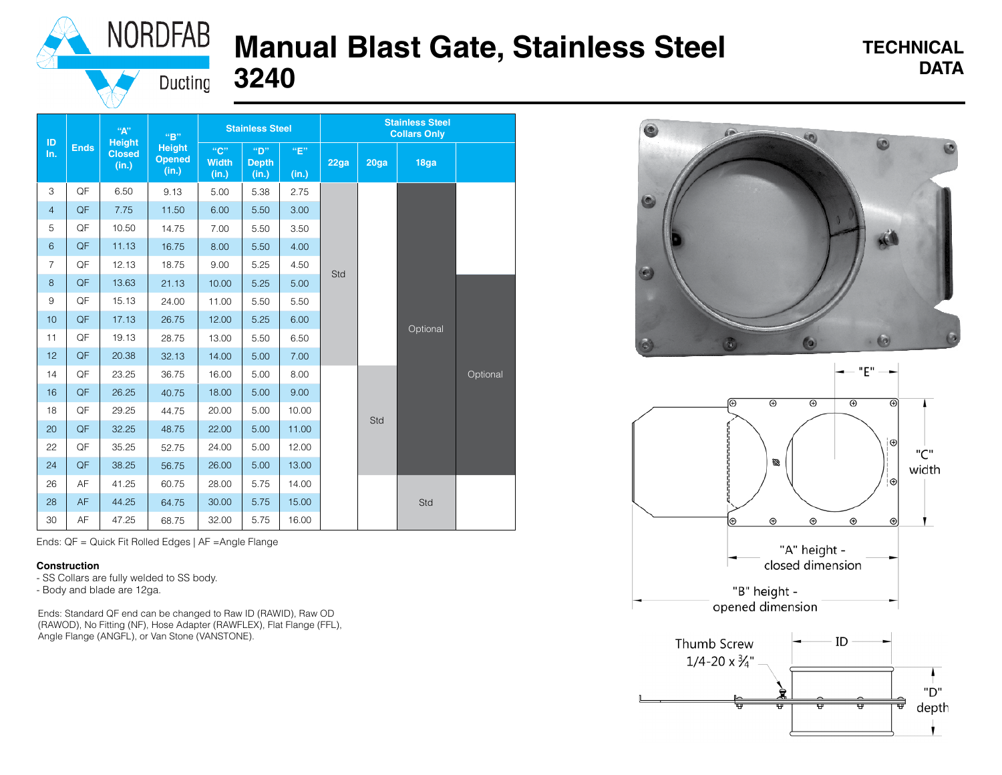

## **Manual Blast Gate, Stainless Steel TECHNICAL PRACE CATA 3240**

# **TECHNICAL**

Ducting

|                 | <b>Ends</b> | $\mathbf{``A''}$<br><b>Height</b><br><b>Closed</b><br>(in.) | "R"<br><b>Height</b><br><b>Opened</b><br>(in.) | <b>Stainless Steel</b>       |                              |              | <b>Stainless Steel</b><br><b>Collars Only</b> |                   |                   |          |
|-----------------|-------------|-------------------------------------------------------------|------------------------------------------------|------------------------------|------------------------------|--------------|-----------------------------------------------|-------------------|-------------------|----------|
| ID<br>In.       |             |                                                             |                                                | "C"<br><b>Width</b><br>(in.) | "D"<br><b>Depth</b><br>(in.) | "E"<br>(in.) | 22ga                                          | 20 <sub>g</sub> a | 18 <sub>g</sub> a |          |
| 3               | QF          | 6.50                                                        | 9.13                                           | 5.00                         | 5.38                         | 2.75         |                                               |                   | Optional          |          |
| $\overline{4}$  | QF          | 7.75                                                        | 11.50                                          | 6.00                         | 5.50                         | 3.00         |                                               |                   |                   |          |
| 5               | QF          | 10.50                                                       | 14.75                                          | 7.00                         | 5.50                         | 3.50         |                                               |                   |                   |          |
| $6\phantom{1}$  | QF          | 11.13                                                       | 16.75                                          | 8.00                         | 5.50                         | 4.00         |                                               |                   |                   |          |
| $\overline{7}$  | QF          | 12.13                                                       | 18.75                                          | 9.00                         | 5.25                         | 4.50         |                                               |                   |                   |          |
| 8               | QF          | 13.63                                                       | 21.13                                          | 10.00                        | 5.25                         | 5.00         | Std                                           |                   |                   |          |
| 9               | QF          | 15.13                                                       | 24.00                                          | 11.00                        | 5.50                         | 5.50         |                                               |                   |                   | Optional |
| 10 <sup>1</sup> | QF          | 17.13                                                       | 26.75                                          | 12.00                        | 5.25                         | 6.00         |                                               |                   |                   |          |
| 11              | QF          | 19.13                                                       | 28.75                                          | 13.00                        | 5.50                         | 6.50         |                                               |                   |                   |          |
| 12              | QF          | 20.38                                                       | 32.13                                          | 14.00                        | 5.00                         | 7.00         |                                               |                   |                   |          |
| 14              | QF          | 23.25                                                       | 36.75                                          | 16.00                        | 5.00                         | 8.00         |                                               | Std               |                   |          |
| 16              | QF          | 26.25                                                       | 40.75                                          | 18.00                        | 5.00                         | 9.00         |                                               |                   |                   |          |
| 18              | QF          | 29.25                                                       | 44.75                                          | 20.00                        | 5.00                         | 10.00        |                                               |                   |                   |          |
| 20              | QF          | 32.25                                                       | 48.75                                          | 22.00                        | 5.00                         | 11.00        |                                               |                   |                   |          |
| 22              | QF          | 35.25                                                       | 52.75                                          | 24.00                        | 5.00                         | 12.00        |                                               |                   |                   |          |
| 24              | QF          | 38.25                                                       | 56.75                                          | 26.00                        | 5.00                         | 13.00        |                                               |                   |                   |          |
| 26              | AF          | 41.25                                                       | 60.75                                          | 28.00                        | 5.75                         | 14.00        |                                               |                   | Std               |          |
| 28              | AF          | 44.25                                                       | 64.75                                          | 30.00                        | 5.75                         | 15.00        |                                               |                   |                   |          |
| 30              | AF          | 47.25                                                       | 68.75                                          | 32.00                        | 5.75                         | 16.00        |                                               |                   |                   |          |

Ends: QF = Quick Fit Rolled Edges | AF =Angle Flange

#### **Construction**

- SS Collars are fully welded to SS body.

- Body and blade are 12ga.

Ends: Standard QF end can be changed to Raw ID (RAWID), Raw OD (RAWOD), No Fitting (NF), Hose Adapter (RAWFLEX), Flat Flange (FFL), Angle Flange (ANGFL), or Van Stone (VANSTONE).